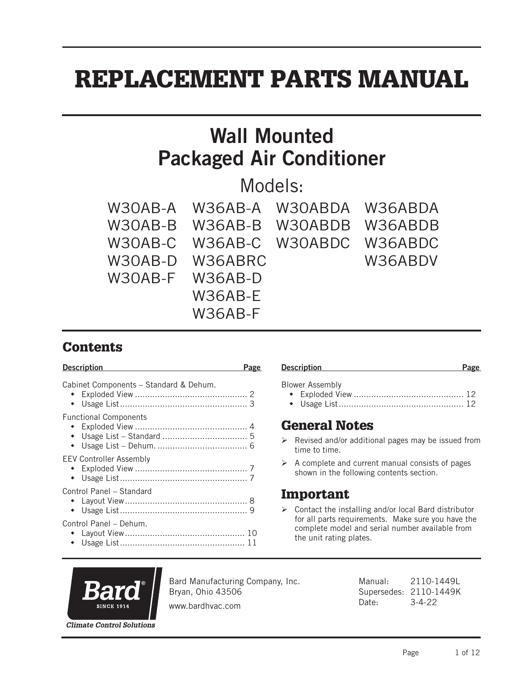# REPLACEMENT PARTS MANUAL

# Wall Mounted Packaged Air Conditioner

Models:

|                 |                 | W30AB-A W36AB-A W30ABDA W36ABDA |         |
|-----------------|-----------------|---------------------------------|---------|
|                 |                 | W30AB-B W36AB-B W30ABDB W36ABDB |         |
|                 |                 | W30AB-C W36AB-C W30ABDC W36ABDC |         |
|                 | W30AB-D W36ABRC |                                 | W36ABDV |
| W30AB-F W36AB-D |                 |                                 |         |
|                 | W36AB-E         |                                 |         |
|                 | W36AB-F         |                                 |         |

# **Contents**

| <b>Description</b><br>Page                                                                                                                                                                                             |
|------------------------------------------------------------------------------------------------------------------------------------------------------------------------------------------------------------------------|
| Blower Assembly                                                                                                                                                                                                        |
| <b>General Notes</b><br>$\triangleright$ Revised and/or additional pages may be issued from<br>time to time.                                                                                                           |
| $\triangleright$ A complete and current manual consists of pages<br>shown in the following contents section.                                                                                                           |
| Important<br>$\triangleright$ Contact the installing and/or local Bard distributor<br>for all parts requirements. Make sure you have the<br>complete model and serial number available from<br>the unit rating plates. |
| Page                                                                                                                                                                                                                   |



Bard Manufacturing Company, Inc. Bryan, Ohio 43506

Manual: 2110-1449L Supersedes: 2110-1449K Date: 3-4-22

www.bardhvac.com

**Climate Control Solutions**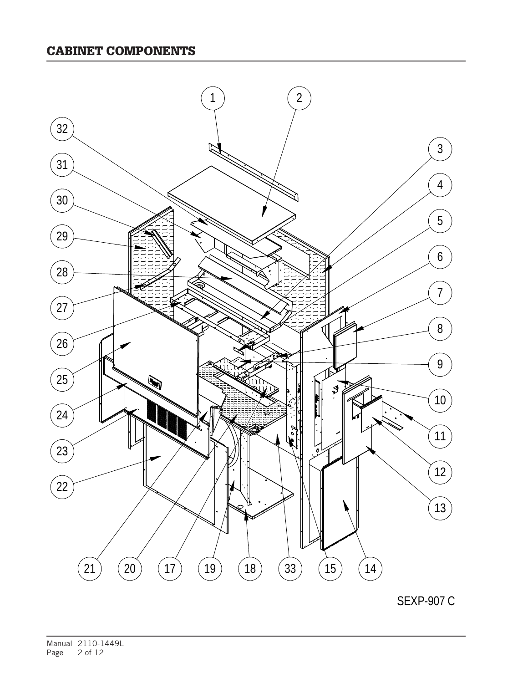#### CABINET COMPONENTS



SEXP-907 C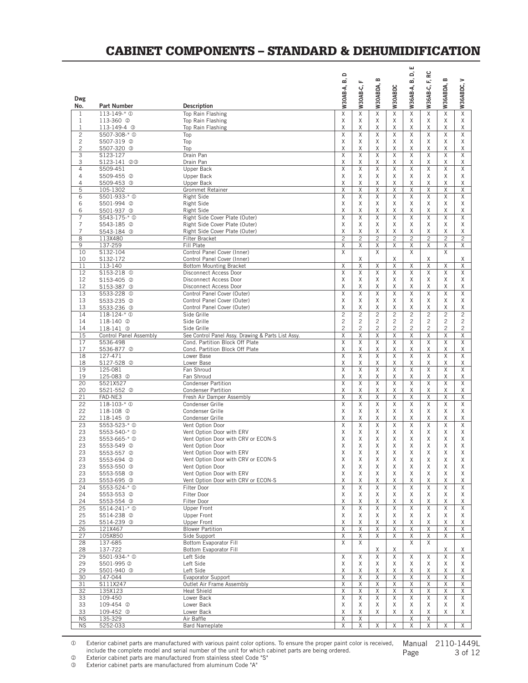#### CABINET COMPONENTS – STANDARD & DEHUMIDIFICATION

|                                  |                                        |                                                                    | $\circ$                 |                         |                     |                | ш<br>ó                  | F, RC                        |                         |                     |
|----------------------------------|----------------------------------------|--------------------------------------------------------------------|-------------------------|-------------------------|---------------------|----------------|-------------------------|------------------------------|-------------------------|---------------------|
|                                  |                                        |                                                                    | ட்                      | щ                       | m                   |                | மி                      |                              | $\bf{m}$                | >                   |
|                                  |                                        |                                                                    | W30AB-A,                | W30AB-C,                | W30ABDA,            | W30ABDC        | W36AB-A,                | W36AB-C,                     | W36ABDA,                | W36ABDC,            |
| Dwg<br>No.                       | <b>Part Number</b>                     | <b>Description</b>                                                 |                         |                         |                     |                |                         |                              |                         |                     |
| $\mathbf{1}$                     | 113-149-* 1                            | Top Rain Flashing                                                  | $\overline{X}$          | $\overline{\mathsf{X}}$ | $\overline{X}$      | $\overline{X}$ | $\overline{\mathsf{X}}$ | $\overline{\mathsf{X}}$      | $\overline{\mathsf{X}}$ | $\overline{X}$      |
| $\mathbf{1}$                     | 113-360 <sup>2</sup>                   | Top Rain Flashing                                                  | Χ                       | Χ                       | Χ                   | Χ              | Χ                       | Χ                            | Χ                       | Χ                   |
| $\mathbf{1}$                     | 113-149-4 <sup>3</sup>                 | Top Rain Flashing                                                  | Χ                       | Χ                       | X                   | Χ              | Χ                       | Χ                            | Χ                       | Χ                   |
| $\overline{c}$                   | S507-308-* <sup>0</sup>                | Top                                                                | Χ                       | X                       | X                   | X              | Χ                       | Χ                            | Χ                       | X                   |
| $\overline{c}$<br>$\overline{c}$ | S507-319 2<br>S507-320 3               | Top<br>Top                                                         | Χ<br>Χ                  | Χ<br>Χ                  | Χ<br>X              | X<br>X         | Χ<br>Χ                  | Χ<br>Χ                       | Χ<br>Χ                  | Χ<br>Χ              |
| 3                                | S123-127                               | Drain Pan                                                          | $\overline{\mathsf{X}}$ | $\overline{X}$          | $\overline{X}$      | $\overline{X}$ | $\overline{X}$          | $\overline{\mathsf{X}}$      | $\overline{X}$          | $\overline{X}$      |
| 3                                | S123-141 @ 3                           | Drain Pan                                                          | Χ                       | X                       | Χ                   | Χ              | Χ                       | Χ                            | Χ                       | Χ                   |
| 4                                | S509-451                               | Upper Back                                                         | X                       | X                       | X                   | X              | X                       | X                            | X                       | X                   |
| 4<br>4                           | S509-455 <sup>2</sup><br>S509-453 3    | Upper Back<br>Upper Back                                           | Χ<br>Χ                  | Χ<br>X                  | Χ<br>X              | Χ<br>X         | Χ<br>Χ                  | Χ<br>Χ                       | Χ<br>Χ                  | Χ<br>Χ              |
| 5                                | 105-1302                               | Grommet Retainer                                                   | Χ                       | Χ                       | X                   | Χ              | Χ                       | Χ                            | Χ                       | Χ                   |
| 6                                | S501-933-* <sup>0</sup>                | <b>Right Side</b>                                                  | Χ                       | X                       | X                   | Χ              | Χ                       | Χ                            | Χ                       | X                   |
| 6                                | S501-994 <sup>2</sup>                  | Right Side                                                         | Χ                       | Χ                       | Χ                   | Χ              | Χ                       | Χ                            | Χ                       | Χ                   |
| 6                                | S501-937 3                             | Right Side                                                         | Χ                       | Χ<br>$\overline{X}$     | X<br>$\overline{X}$ | Χ              | X                       | Χ<br>$\overline{\mathsf{X}}$ | X                       | X<br>$\overline{X}$ |
| 7<br>$\overline{7}$              | \$543-175-* <sup>0</sup><br>S543-185 2 | Right Side Cover Plate (Outer)<br>Right Side Cover Plate (Outer)   | Χ<br>X                  | X                       | X                   | X<br>X         | Χ<br>Χ                  | Χ                            | Χ<br>X                  | X                   |
| 7                                | S543-184 3                             | Right Side Cover Plate (Outer)                                     | Χ                       | X                       | X                   | Χ              | Χ                       | Χ                            | Χ                       | Χ                   |
| 8                                | 113X480                                | Filter Bracket                                                     | $\overline{c}$          | $\overline{c}$          | $\overline{c}$      | $\overline{c}$ | $\overline{c}$          | $\overline{c}$               | $\overline{c}$          | $\overline{c}$      |
| 9                                | 137-259                                | Fill Plate                                                         | Χ                       | Χ                       | X                   | X              | Χ                       | Χ                            | Χ                       | Χ                   |
| 10<br>10                         | S132-104<br>S132-172                   | Control Panel Cover (Inner)<br>Control Panel Cover (Inner)         | X                       | Χ                       | X                   | X              | X                       | Χ                            | X                       |                     |
| 11                               | 113-140                                | <b>Bottom Mounting Bracket</b>                                     | Χ                       | X                       | X                   | X              | Χ                       | X                            | Χ                       | Χ<br>X              |
| 12                               | S153-218 <sup>0</sup>                  | Disconnect Access Door                                             | $\overline{X}$          | $\overline{X}$          | X                   | X              | X                       | Χ                            | X                       | X                   |
| 12                               | S153-405 <sup>2</sup>                  | Disconnect Access Door                                             | Χ                       | Χ                       | Χ                   | Χ              | Χ                       | Χ                            | Χ                       | Χ                   |
| 12                               | S153-387 3                             | Disconnect Access Door                                             | Χ                       | Χ                       | X                   | X              | Χ                       | Χ                            | Χ                       | X                   |
| 13                               | \$533-228 <sup>0</sup>                 | Control Panel Cover (Outer)                                        | Χ                       | Χ                       | X                   | X              | Χ                       | Χ                            | Χ                       | X                   |
| 13<br>13                         | S533-235 2<br>S533-236 3               | Control Panel Cover (Outer)<br>Control Panel Cover (Outer)         | Χ<br>X                  | X<br>Χ                  | Χ<br>X              | Χ<br>X         | Χ<br>Χ                  | Χ<br>Χ                       | Χ<br>X                  | Χ<br>Χ              |
| 14                               | 118-124-* 0                            | Side Grille                                                        | $\overline{2}$          | $\overline{2}$          | $\overline{2}$      | $\overline{2}$ | $\overline{c}$          | $\overline{2}$               | $\overline{2}$          | $\overline{2}$      |
| 14                               | 118-140 <sup>2</sup>                   | Side Grille                                                        | $\overline{c}$          | $\overline{c}$          | $\overline{c}$      | $\overline{c}$ | $\overline{c}$          | $\overline{c}$               | $\overline{c}$          | $\overline{c}$      |
| 14                               | 118-141 3                              | Side Grille                                                        | $\overline{c}$          | 2                       | $\overline{c}$      | $\mathbf{2}$   | 2                       | 2                            | $\overline{c}$          | 2                   |
| 15                               | Control Panel Assembly                 | See Control Panel Assy. Drawing & Parts List Assy.                 | Χ                       | X                       | X                   | X              | Χ                       | Χ                            | Χ                       | X                   |
| 17<br>17                         | S536-498<br>S536-877 2                 | Cond. Partition Block Off Plate<br>Cond. Partition Block Off Plate | X<br>Χ                  | X<br>Χ                  | Χ<br>Χ              | X<br>Χ         | Χ<br>Χ                  | Χ<br>Χ                       | X<br>Χ                  | X<br>Χ              |
| 18                               | 127-471                                | Lower Base                                                         | $\overline{X}$          | $\overline{X}$          | X                   | X              | Χ                       | Χ                            | X                       | X                   |
| 18                               | S127-528 <sup>@</sup>                  | Lower Base                                                         | Χ                       | Χ                       | Χ                   | X              | Χ                       | Χ                            | Χ                       | Χ                   |
| 19                               | 125-081                                | Fan Shroud                                                         | $\overline{X}$          | $\overline{X}$          | $\overline{X}$      | $\overline{X}$ | $\overline{X}$          | $\overline{\mathsf{X}}$      | $\overline{X}$          | $\overline{X}$      |
| 19<br>20                         | 125-083 2<br>S521X527                  | Fan Shroud<br><b>Condenser Partition</b>                           | Χ<br>Χ                  | Χ<br>X                  | Χ<br>X              | Χ<br>X         | Χ<br>Χ                  | Χ<br>Χ                       | Χ<br>Χ                  | Χ<br>X              |
| 20                               | S521-552 <sup>@</sup>                  | <b>Condenser Partition</b>                                         | Χ                       | Χ                       | X                   | X              | Χ                       | Χ                            | Χ                       | X                   |
| 21                               | FAD-NE3                                | Fresh Air Damper Assembly                                          | $\overline{\mathsf{X}}$ | $\overline{X}$          | $\overline{X}$      | $\overline{X}$ | $\overline{X}$          | $\overline{\mathsf{X}}$      | $\overline{X}$          | $\overline{X}$      |
| 22                               | $118 - 103 - * 0$                      | Condenser Grille                                                   | Χ                       | X                       | Χ                   | X              | X                       | Χ                            | Χ                       | X                   |
| 22                               | 118-108 2                              | Condenser Grille                                                   | X                       | X                       | Χ                   | Χ              | Χ                       | Χ                            | X                       | Χ                   |
| 22<br>23                         | 118-145 <sup>3</sup><br>\$553-523-* 1  | Condenser Grille<br>Vent Option Door                               | Χ<br>X                  | Χ<br>X                  | Χ<br>X              | Χ<br>X         | Χ<br>X                  | Χ<br>Χ                       | Χ<br>X                  | Χ<br>X              |
| 23                               | \$553-540-* 0                          | Vent Option Door with ERV                                          | Χ                       | X                       | Χ                   | Χ              | Χ                       | Χ                            | Χ                       | Χ                   |
| 23                               | \$553-665-* <sup>0</sup>               | Vent Option Door with CRV or ECON-S                                | Χ                       | Χ                       | X                   | Χ              | Χ                       | Χ                            | Χ                       | Χ                   |
| 23                               | S553-549 <sup>2</sup>                  | Vent Option Door                                                   | X                       | Χ                       | X                   | X              | Χ                       | Χ                            | X                       | X                   |
| 23                               | S553-557 <sup>2</sup>                  | Vent Option Door with ERV                                          | X                       | Χ                       | Χ                   | Χ              | Χ                       | Χ                            | Χ                       | Χ                   |
| 23<br>23                         | S553-694 <sup>2</sup><br>S553-550 3    | Vent Option Door with CRV or ECON-S<br>Vent Option Door            | Χ<br>X                  | X<br>X                  | Χ<br>X              | X<br>Χ         | Χ<br>Χ                  | Χ<br>Χ                       | Χ<br>Χ                  | X<br>Χ              |
| 23                               | S553-558 3                             | Vent Option Door with ERV                                          | Χ                       | X                       | Χ                   | Χ              | Χ                       | Χ                            | Χ                       | Χ                   |
| 23                               | S553-695 3                             | Vent Option Door with CRV or ECON-S                                | Χ                       | X                       | Χ                   | X              | Χ                       | Χ                            | Χ                       | Χ                   |
| 24                               | \$553-524-* 0                          | Filter Door                                                        | Χ                       | Χ                       | X                   | X              | Χ                       | Χ                            | X                       | X                   |
| 24                               | S553-553 @                             | Filter Door                                                        | Χ                       | Χ                       | Χ                   | Χ              | Χ                       | Χ                            | Χ                       | Χ                   |
| 24<br>25                         | S553-554 <sup>3</sup><br>\$514-241-* 0 | Filter Door<br><b>Upper Front</b>                                  | Χ<br>Χ                  | X<br>$\overline{X}$     | X<br>X              | X<br>X         | Χ<br>Χ                  | Χ<br>Χ                       | Χ<br>Χ                  | Χ<br>$\overline{X}$ |
| 25                               | S514-238 2                             | <b>Upper Front</b>                                                 | Χ                       | Χ                       | Χ                   | Χ              | Χ                       | Χ                            | Χ                       | Χ                   |
| 25                               | S514-239 3                             | <b>Upper Front</b>                                                 | Χ                       | X                       | Χ                   | Χ              | Χ                       | Χ                            | X                       | Χ                   |
| 26                               | 121X467                                | <b>Blower Partition</b>                                            | $\overline{\mathsf{x}}$ | $\overline{X}$          | $\overline{X}$      | $\overline{X}$ | $\overline{X}$          | Χ                            | $\overline{X}$          | $\overline{X}$      |
| 27                               | 105X850                                | Side Support                                                       | Χ                       | Χ                       | Χ                   | X              | Χ                       | Χ                            | Χ                       | X                   |
| 28<br>28                         | 137-685<br>137-722                     | <b>Bottom Evaporator Fill</b><br>Bottom Evaporator Fill            | X                       | X                       | Χ                   | Χ              | X                       | X                            | Χ                       | Χ                   |
| 29                               | S501-934-* <sup>0</sup>                | Left Side                                                          | X                       | X                       | X                   | X              | Χ                       | Χ                            | X                       | X                   |
| 29                               | S501-995 2                             | Left Side                                                          | Χ                       | Χ                       | Χ                   | Χ              | Χ                       | Χ                            | Χ                       | Χ                   |
| 29                               | S501-940 3                             | Left Side                                                          | Χ                       | X                       | X                   | X              | Χ                       | Χ                            | Χ                       | X                   |
| 30<br>31                         | 147-044<br>S111X247                    | Evaporator Support<br>Outlet Air Frame Assembly                    | Χ<br>Χ                  | Χ<br>Χ                  | X<br>X              | X<br>X         | Χ<br>Χ                  | Χ<br>Χ                       | Χ<br>X                  | Χ<br>X              |
| 32                               | 135X123                                | <b>Heat Shield</b>                                                 | X                       | X                       | X                   | X              | Χ                       | Χ                            | X                       | X                   |
| 33                               | 109-450                                | Lower Back                                                         | X                       | $\overline{X}$          | Χ                   | X              | X                       | Χ                            | Χ                       | $\overline{X}$      |
| 33                               | 109-454 <sup>2</sup>                   | Lower Back                                                         | Χ                       | Χ                       | Χ                   | Χ              | Χ                       | Χ                            | Χ                       | Χ                   |
| 33                               | 109-452 <sup>3</sup>                   | Lower Back                                                         | Χ                       | X                       | X                   | Χ              | Χ                       | Χ                            | X                       | X                   |
| <b>NS</b><br><b>NS</b>           | 135-329<br>5252-033                    | Air Baffle<br><b>Bard Nameplate</b>                                | Χ<br>X                  | Χ<br>X                  | X                   | X              | Χ<br>Χ                  | Χ<br>Χ                       | X                       | $\sf{X}$            |
|                                  |                                        |                                                                    |                         |                         |                     |                |                         |                              |                         |                     |

 $\circ$  Exterior cabinet parts are manufactured with various paint color options. To ensure the proper paint color is received, Manual 2110-1449L include the complete model and serial number of the unit for which cabinet parts are being ordered.

Page 3 of 12

k Exterior cabinet parts are manufactured from stainless steel Code "S"

Exterior cabinet parts are manufactured from aluminum Code "A"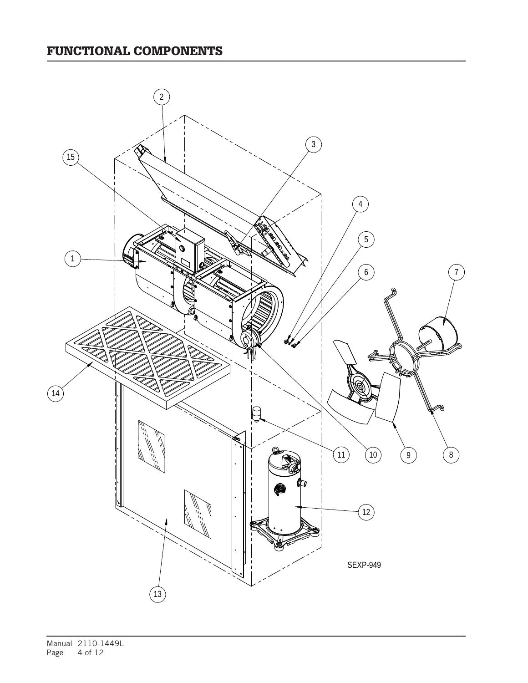## FUNCTIONAL COMPONENTS

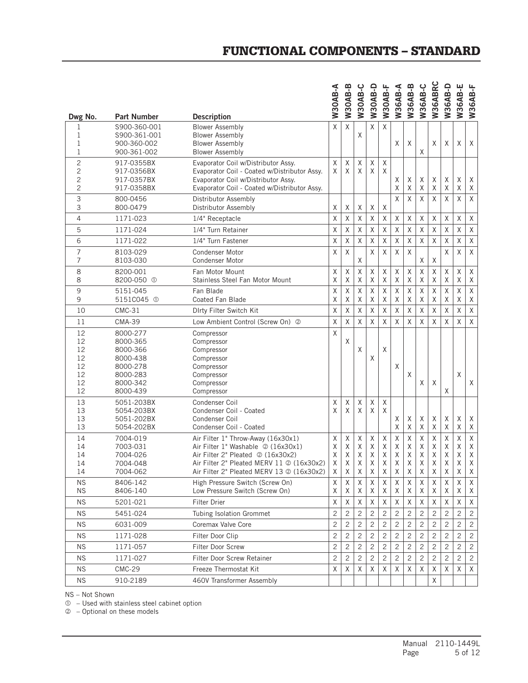### FUNCTIONAL COMPONENTS – STANDARD

|                |                              |                                                                                | n−a<br>W30AB   | <b>W30AB-B</b> | W30AB-C        | B-D<br>W30A <sub>E</sub> | <b>W30AB-F</b> | W36AB-A        | W36AB-B        | W36AB-C          | W36ABRC        | W36AB-D          | W36AB-E        | W36AB-F        |
|----------------|------------------------------|--------------------------------------------------------------------------------|----------------|----------------|----------------|--------------------------|----------------|----------------|----------------|------------------|----------------|------------------|----------------|----------------|
| Dwg No.        | <b>Part Number</b>           | <b>Description</b>                                                             |                |                |                |                          |                |                |                |                  |                |                  |                |                |
| 1<br>1         | S900-360-001<br>S900-361-001 | <b>Blower Assembly</b><br><b>Blower Assembly</b>                               | $\times$       | $\sf X$        | X              | Χ                        | X              |                |                |                  |                |                  |                |                |
| 1              | 900-360-002                  | <b>Blower Assembly</b>                                                         |                |                |                |                          |                | X              | X              |                  | X              | X                | X              | X              |
| 1              | 900-361-002                  | <b>Blower Assembly</b>                                                         |                |                |                |                          |                |                |                | X                |                |                  |                |                |
| 2              | 917-0355BX                   | Evaporator Coil w/Distributor Assy.                                            | Χ              | $\sf X$        | Χ              | X                        | X              |                |                |                  |                |                  |                |                |
| 2              | 917-0356BX                   | Evaporator Coil - Coated w/Distributor Assy.                                   | X              | X              | X              | X                        | X              |                |                |                  |                |                  |                |                |
| $\overline{c}$ | 917-0357BX                   | Evaporator Coil w/Distributor Assy.                                            |                |                |                |                          |                | Χ              | Χ              | Χ                | Χ              | X                | χ              | Χ              |
| $\overline{c}$ | 917-0358BX                   | Evaporator Coil - Coated w/Distributor Assy.                                   |                |                |                |                          |                | Χ              | X              | Χ                | $\sf X$        | Χ                | Χ              | Χ              |
| 3              | 800-0456                     | Distributor Assembly                                                           |                |                |                |                          |                | Χ              | X              | Χ                | Χ              | Χ                | Χ              | $\sf X$        |
| 3              | 800-0479                     | Distributor Assembly                                                           | X              | Χ              | Χ              | Χ                        | Χ              |                |                |                  |                |                  |                |                |
| 4              | 1171-023                     | 1/4" Receptacle                                                                | $\mathsf X$    | Χ              | Χ              | Χ                        | Χ              | X              | Χ              | X                | Χ              | X                | X              | $\mathsf X$    |
| 5              | 1171-024                     | 1/4" Turn Retainer                                                             | Χ              | $\sf X$        | X              | X                        | X              | X              | X              | Χ                | Χ              | Χ                | X              | Χ              |
| 6              | 1171-022                     | 1/4" Turn Fastener                                                             | Χ              | $\sf X$        | Χ              | Χ                        | Χ              | Χ              | Χ              | X                | Χ              | Χ                | Χ              | $\mathsf X$    |
| 7              | 8103-029                     | <b>Condenser Motor</b>                                                         | χ              | $\sf X$        |                | $\sf X$                  | Χ              | X              | $\sf X$        |                  |                | Χ                | Χ              | X              |
| 7              | 8103-030                     | <b>Condenser Motor</b>                                                         |                |                | X              |                          |                |                |                | X                | Χ              |                  |                |                |
| 8              | 8200-001                     | Fan Motor Mount                                                                | Χ              | Χ              | Χ              | Χ                        | Χ              | Χ              | Χ              | $\mathsf X$      | Χ              | Χ                | X              | Χ              |
| 8              | 8200-050 <sup>①</sup>        | Stainless Steel Fan Motor Mount                                                | X              | X              | X              | X                        | X              | X              | X              | X                | X              | X                | χ              | Χ              |
| 9              | 5151-045                     | Fan Blade                                                                      | Χ              | Χ              | Χ              | X                        | Χ              | Χ              | Χ              | Χ                | Χ              | Χ                | Χ              | $\mathsf X$    |
| 9              | 5151C045 <sup>0</sup>        | <b>Coated Fan Blade</b>                                                        | Χ              | X              | X              | X                        | X              | X              | Χ              | Χ                | X              | X                | X              | Χ              |
| 10             | CMC-31                       | Dirty Filter Switch Kit                                                        | $\sf X$        | $\sf X$        | Χ              | Χ                        | Χ              | Χ              | Χ              | Χ                | $\sf X$        | $\mathsf X$      | Χ              | $\sf X$        |
| 11             | <b>CMA-39</b>                | Low Ambient Control (Screw On) 2                                               | Χ              | $\sf X$        | X              | X                        | X              | Χ              | X              | X                | Χ              | Χ                | X              | $\mathsf X$    |
| 12             | 8000-277                     | Compressor                                                                     | X              |                |                |                          |                |                |                |                  |                |                  |                |                |
| 12             | 8000-365                     | Compressor                                                                     |                | Χ              |                |                          |                |                |                |                  |                |                  |                |                |
| 12             | 8000-366                     | Compressor                                                                     |                |                | X              |                          | X              |                |                |                  |                |                  |                |                |
| 12<br>12       | 8000-438<br>8000-278         | Compressor<br>Compressor                                                       |                |                |                | X                        |                | Χ              |                |                  |                |                  |                |                |
| 12             | 8000-283                     | Compressor                                                                     |                |                |                |                          |                |                | X              |                  |                |                  | X              |                |
| 12             | 8000-342                     | Compressor                                                                     |                |                |                |                          |                |                |                | X                | X              |                  |                | X              |
| 12             | 8000-439                     | Compressor                                                                     |                |                |                |                          |                |                |                |                  |                | Χ                |                |                |
| 13             | 5051-203BX                   | Condenser Coil                                                                 | X              | $\sf X$        | $\sf X$        | Χ                        | Χ              |                |                |                  |                |                  |                |                |
| 13             | 5054-203BX                   | Condenser Coil - Coated                                                        | X              | X              | X              | X                        | X              |                |                |                  |                |                  |                |                |
| 13             | 5051-202BX                   | Condenser Coil                                                                 |                |                |                |                          |                | Χ              | Χ              | Χ                | Χ              | Χ                | Χ              | Χ              |
| 13             | 5054-202BX                   | Condenser Coil - Coated                                                        |                |                |                |                          |                | Χ              | $\mathsf X$    | $\mathsf X$      | $\mathsf X$    | $\mathsf X$      | Χ              | Χ              |
| 14             | 7004-019                     | Air Filter 1" Throw-Away (16x30x1)                                             | Χ              | Χ              | Χ              | Χ                        | Χ              | Χ              | Χ              | $\sf X$          | Χ              | Χ                | Χ              | $\mathsf X$    |
| 14             | 7003-031                     | Air Filter 1" Washable 2 (16x30x1)                                             | Χ              | Χ              | Χ              | Χ                        | Χ              | Χ              | Χ              | Χ                | Χ              | Χ                | Χ              | Χ              |
| 14<br>14       | 7004-026<br>7004-048         | Air Filter 2" Pleated 2 (16x30x2)<br>Air Filter 2" Pleated MERV 11 @ (16x30x2) | Χ<br>Χ         | Χ<br>Χ         | χ<br>Χ         | Χ<br>Χ                   | X<br>Χ         | Χ<br>Χ         | Χ<br>Χ         | χ<br>$\mathsf X$ | X<br>X         | Χ<br>$\mathsf X$ | Χ<br>χ         | Χ<br>Χ         |
| 14             | 7004-062                     | Air Filter 2" Pleated MERV 13 $\oslash$ (16x30x2)                              | X              | Χ              | Χ              | Χ                        | Χ              | Χ              | Χ              | Χ                | Χ              | Χ                | Χ              | X              |
| <b>NS</b>      | 8406-142                     | High Pressure Switch (Screw On)                                                | X              | Χ              | X              | Χ                        | X              | X              | X              | Χ                | Χ              | X                | X              | X              |
| <b>NS</b>      | 8406-140                     | Low Pressure Switch (Screw On)                                                 | X              | Χ              | Χ              | X                        | X              | X              | Χ              | X                | Χ              | Χ                | Χ              | Χ              |
| <b>NS</b>      | 5201-021                     | Filter Drier                                                                   | X              | Χ              | Χ              | Χ                        | Χ              | Χ              | Χ              | Χ                | Χ              | Χ                | X              | Χ              |
| <b>NS</b>      | 5451-024                     | Tubing Isolation Grommet                                                       | $\overline{c}$ | $\overline{c}$ | $\overline{c}$ | 2                        | $\overline{c}$ | $\overline{c}$ | $\overline{c}$ | 2                | 2              | 2                | $\overline{c}$ | 2              |
| <b>NS</b>      | 6031-009                     | Coremax Valve Core                                                             | $\overline{c}$ | $\overline{c}$ | $\overline{c}$ | $\overline{c}$           | 2              | $\overline{c}$ | $\overline{c}$ | 2                | $\overline{c}$ | $\overline{c}$   | $\overline{c}$ | $\overline{c}$ |
| <b>NS</b>      | 1171-028                     | Filter Door Clip                                                               | $\overline{c}$ | $\overline{c}$ | $\overline{c}$ | 2                        | $\mathbf{2}$   | $\overline{c}$ | $\overline{c}$ | 2                | $\overline{c}$ | $\overline{c}$   | $\overline{c}$ | $\mathbf{2}$   |
| <b>NS</b>      | 1171-057                     | Filter Door Screw                                                              | $\overline{c}$ | $\overline{c}$ | $\overline{c}$ | 2                        | $\overline{c}$ | $\overline{c}$ | $\overline{c}$ | 2                | $\overline{c}$ | $\overline{c}$   | $\overline{c}$ | $\mathbf{2}$   |
| <b>NS</b>      | 1171-027                     | Filter Door Screw Retainer                                                     | $\overline{c}$ | $\overline{c}$ | $\overline{c}$ | 2                        | 2              | $\overline{c}$ | $\overline{c}$ | 2                | 2              | $\overline{c}$   | $\overline{c}$ | $\sqrt{2}$     |
| <b>NS</b>      | <b>CMC-29</b>                | Freeze Thermostat Kit                                                          | X              | X              | X              | Χ                        | X              | χ              | X              | Χ                | Χ              | X                | X              | Χ              |
|                |                              |                                                                                |                |                |                |                          |                |                |                |                  |                |                  |                |                |
| <b>NS</b>      | 910-2189                     | 460V Transformer Assembly                                                      |                |                |                |                          |                |                |                |                  | X              |                  |                |                |

NS – Not Shown

 $<sup>0</sup>$  – Used with stainless steel cabinet option</sup>

– Optional on these models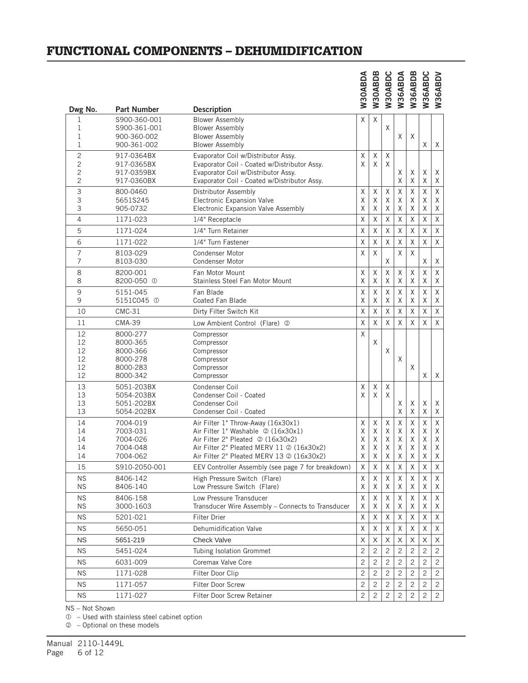#### FUNCTIONAL COMPONENTS – DEHUMIDIFICATION

|                                  |                                                                      |                                                                                                                                                                                                         | <b>N30ABDA</b>                  | W30ABDB                         | W30ABDC                     | W36ABDA                     | W36ABDB                     |                                 | W36ABDC<br>W36ABDV              |
|----------------------------------|----------------------------------------------------------------------|---------------------------------------------------------------------------------------------------------------------------------------------------------------------------------------------------------|---------------------------------|---------------------------------|-----------------------------|-----------------------------|-----------------------------|---------------------------------|---------------------------------|
| Dwg No.                          | <b>Part Number</b>                                                   | <b>Description</b>                                                                                                                                                                                      |                                 |                                 |                             |                             |                             |                                 |                                 |
| 1<br>1<br>1<br>1                 | S900-360-001<br>S900-361-001<br>900-360-002<br>900-361-002           | <b>Blower Assembly</b><br><b>Blower Assembly</b><br><b>Blower Assembly</b><br><b>Blower Assembly</b>                                                                                                    | $\times$                        | X                               | X                           | X                           | X                           | X                               | Χ                               |
| $\overline{c}$<br>2<br>2<br>2    | 917-0364BX<br>917-0365BX<br>917-0359BX<br>917-0360BX                 | Evaporator Coil w/Distributor Assy.<br>Evaporator Coil - Coated w/Distributor Assy.<br>Evaporator Coil w/Distributor Assy.<br>Evaporator Coil - Coated w/Distributor Assy.                              | X<br>X                          | X<br>X                          | X<br>X                      | X<br>Χ                      | X<br>Χ                      | Χ<br>X                          | Χ<br>Χ                          |
| 3<br>3<br>3                      | 800-0460<br>5651S245<br>905-0732                                     | Distributor Assembly<br>Electronic Expansion Valve<br>Electronic Expansion Valve Assembly                                                                                                               | $\chi$<br>Χ<br>X                | Χ<br>X<br>Χ                     | X<br>Χ<br>X                 | $\sf X$<br>Χ<br>X           | X<br>X<br>Χ                 | X<br>X<br>X                     | X<br>Χ<br>Χ                     |
| 4                                | 1171-023                                                             | 1/4" Receptacle                                                                                                                                                                                         | X                               | Χ                               | Χ                           | Χ                           | Χ                           | Χ                               | X                               |
| 5                                | 1171-024                                                             | 1/4" Turn Retainer                                                                                                                                                                                      | X                               | X                               | X                           | X                           | X                           | X                               | X                               |
| 6                                | 1171-022                                                             | 1/4" Turn Fastener                                                                                                                                                                                      | X                               | X                               | X                           | X                           | X                           | X                               | X                               |
| 7<br>7                           | 8103-029<br>8103-030                                                 | <b>Condenser Motor</b><br><b>Condenser Motor</b>                                                                                                                                                        | X                               | X                               | X                           | X                           | X                           | Χ                               | Χ                               |
| 8<br>8                           | 8200-001<br>8200-050 <sup>0</sup>                                    | Fan Motor Mount<br>Stainless Steel Fan Motor Mount                                                                                                                                                      | Χ<br>Χ                          | X<br>Χ                          | X<br>X                      | Χ<br>X                      | Χ<br>X                      | X<br>X                          | Χ<br>Χ                          |
| 9                                | 5151-045                                                             | Fan Blade                                                                                                                                                                                               | Χ                               | Χ                               | Χ                           | Χ                           | Χ                           | Χ                               | X                               |
| 9                                | 5151C045 <sup>0</sup>                                                | <b>Coated Fan Blade</b>                                                                                                                                                                                 | X                               | X                               | X                           | X                           | X                           | X                               | Χ                               |
| 10                               | $CMC-31$                                                             | Dirty Filter Switch Kit                                                                                                                                                                                 | $\chi$                          | Χ                               | X                           | $\sf X$                     | Χ                           | Χ                               | X                               |
| 11                               | <b>CMA-39</b>                                                        | Low Ambient Control (Flare) 2                                                                                                                                                                           | Χ                               | Χ                               | X                           | X                           | X                           | X                               | X                               |
| 12<br>12<br>12<br>12<br>12<br>12 | 8000-277<br>8000-365<br>8000-366<br>8000-278<br>8000-283<br>8000-342 | Compressor<br>Compressor<br>Compressor<br>Compressor<br>Compressor<br>Compressor                                                                                                                        | X                               | X                               | X                           | X                           | X                           | Χ                               | Χ                               |
| 13<br>13<br>13<br>13             | 5051-203BX<br>5054-203BX<br>5051-202BX<br>5054-202BX                 | Condenser Coil<br>Condenser Coil - Coated<br>Condenser Coil<br>Condenser Coil - Coated                                                                                                                  | X<br>X                          | Χ<br>X                          | X<br>X                      | X<br>X                      | Χ<br>X                      | Χ<br>X                          | Χ<br>Χ                          |
| 14<br>14<br>14<br>14<br>14       | 7004-019<br>7003-031<br>7004-026<br>7004-048<br>7004-062             | Air Filter 1" Throw-Away (16x30x1)<br>Air Filter 1" Washable 2 (16x30x1)<br>Air Filter 2" Pleated 2 (16x30x2)<br>Air Filter 2" Pleated MERV 11 2 (16x30x2)<br>Air Filter 2" Pleated MERV 13 @ (16x30x2) | Χ<br>Χ<br>Χ<br>Χ<br>$\mathsf X$ | Χ<br>Χ<br>X<br>X<br>$\mathsf X$ | Χ<br>Χ<br>X<br>Χ<br>$\sf X$ | X<br>Χ<br>Χ<br>Χ<br>$\sf X$ | X<br>X<br>X<br>Χ<br>$\sf X$ | X<br>Χ<br>X<br>Χ<br>$\mathsf X$ | X<br>Χ<br>Χ<br>Χ<br>$\mathsf X$ |
| 15                               | S910-2050-001                                                        | EEV Controller Assembly (see page 7 for breakdown)                                                                                                                                                      | X                               | X                               | X                           | X                           | X                           | X                               | X                               |
| <b>NS</b><br><b>NS</b>           | 8406-142<br>8406-140                                                 | High Pressure Switch (Flare)<br>Low Pressure Switch (Flare)                                                                                                                                             | Χ<br>Χ                          | Χ<br>X                          | Χ<br>Χ                      | Χ<br>Χ                      | Χ<br>Χ                      | Χ<br>Χ                          | Χ<br>Χ                          |
| NS.<br><b>NS</b>                 | 8406-158<br>3000-1603                                                | Low Pressure Transducer<br>Transducer Wire Assembly - Connects to Transducer                                                                                                                            | Χ<br>Χ                          | X<br>X                          | X<br>X                      | X<br>X                      | X<br>X                      | X<br>X                          | X<br>Χ                          |
| NS.                              | 5201-021                                                             | <b>Filter Drier</b>                                                                                                                                                                                     | χ                               | Χ                               | X                           | X                           | Χ                           | Χ                               | Χ                               |
| <b>NS</b>                        | 5650-051                                                             | Dehumidification Valve                                                                                                                                                                                  | X                               | Χ                               | X                           | X                           | Χ                           | X                               | Χ                               |
| <b>NS</b>                        | 5651-219                                                             | <b>Check Valve</b>                                                                                                                                                                                      | X                               | X                               | X                           | X                           | X                           | X                               | Χ                               |
| NS.                              | 5451-024                                                             | Tubing Isolation Grommet                                                                                                                                                                                | $\overline{c}$                  | 2                               | 2                           | $\overline{c}$              | 2                           | 2                               | 2                               |
| <b>NS</b>                        | 6031-009                                                             | Coremax Valve Core                                                                                                                                                                                      | $\overline{c}$                  | $\overline{c}$                  | 2                           | $\overline{c}$              | 2                           | 2                               | 2                               |
| <b>NS</b>                        | 1171-028                                                             | Filter Door Clip                                                                                                                                                                                        | $\overline{c}$                  | 2                               | $\overline{c}$              | $\overline{c}$              | 2                           | 2                               | 2                               |
| NS.                              | 1171-057                                                             | Filter Door Screw                                                                                                                                                                                       | $\overline{c}$                  | 2                               | $\overline{c}$              | $\overline{c}$              | $\overline{c}$              | $\overline{c}$                  | 2                               |
| <b>NS</b>                        | 1171-027                                                             | Filter Door Screw Retainer                                                                                                                                                                              | $\overline{c}$                  | $\mathbf{2}$                    | $\overline{2}$              | $\overline{c}$              | $\mathbf{2}$                | $\overline{c}$                  | 2                               |

NS – Not Shown

 $O$  – Used with stainless steel cabinet option

– Optional on these models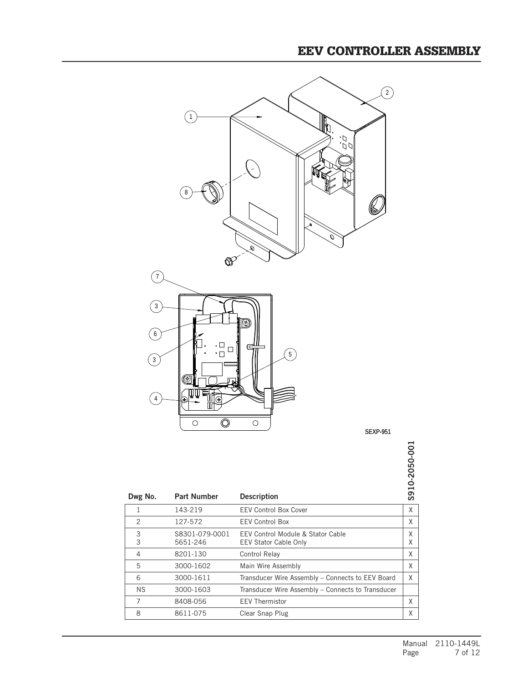#### EEV CONTROLLER ASSEMBLY



8 8611-075 Clear Snap Plug X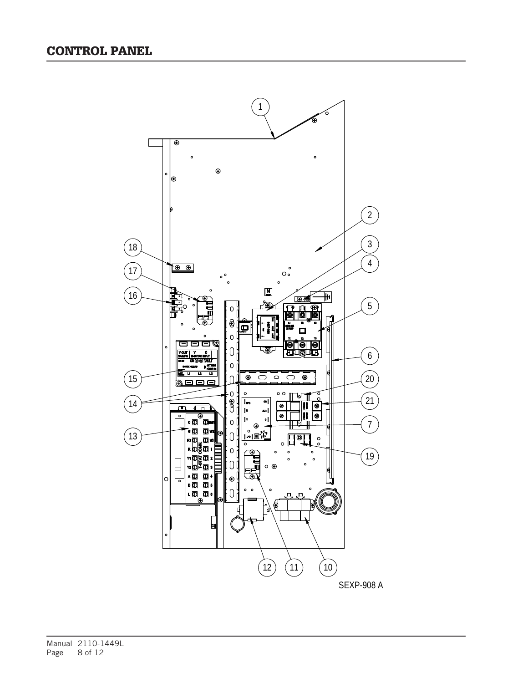

Manual 2110-1449L<br>Page 8 of 12 8 of 12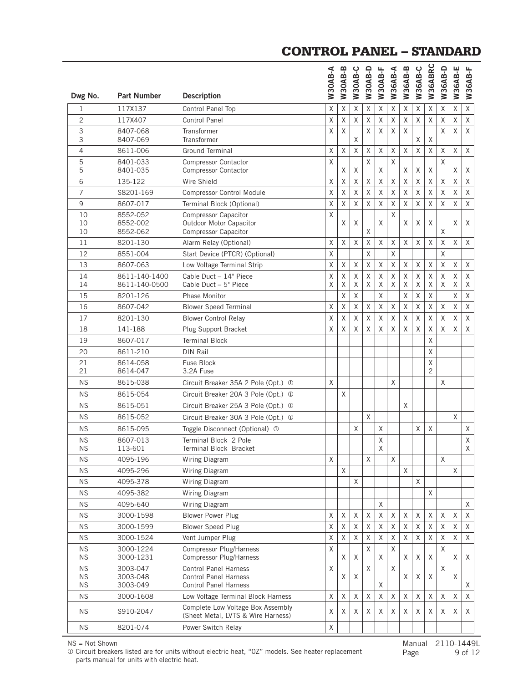### CONTROL PANEL – STANDARD

|                  |                        |                                                                         | W30AB-A | <b>W30AB-B</b> | W30AB-C  | W30AB-D      | W30AB-F     | <b>W36AB-A</b> | W36AB-B | W36AB-C     | W36ABRC | W36AB-D     | W36AB-E | W36AB-F     |
|------------------|------------------------|-------------------------------------------------------------------------|---------|----------------|----------|--------------|-------------|----------------|---------|-------------|---------|-------------|---------|-------------|
| Dwg No.          | <b>Part Number</b>     | <b>Description</b>                                                      |         |                |          |              |             |                |         |             |         |             |         |             |
| 1                | 117X137                | Control Panel Top                                                       | Χ       | X              | X        | X            | X           | Χ              | Χ       | Χ           | X       | X           | Χ       | Χ           |
| $\overline{c}$   | 117X407                | <b>Control Panel</b>                                                    | Χ       | X              | $\sf X$  | Χ            | $\mathsf X$ | Χ              | Χ       | $\mathsf X$ | Χ       | Χ           | $\sf X$ | Χ           |
| 3<br>3           | 8407-068<br>8407-069   | Transformer<br>Transformer                                              | X       | X              | X        | Χ            | X           | X              | Χ       | X           | Χ       | X           | Χ       | X           |
| $\overline{4}$   | 8611-006               | <b>Ground Terminal</b>                                                  | Χ       | X              | X        | Χ            | Χ           | Χ              | X       | $\mathsf X$ | X       | X           | Χ       | X           |
| 5                | 8401-033               | <b>Compressor Contactor</b>                                             | Χ       |                |          | $\mathsf{X}$ |             | Χ              |         |             |         | $\sf X$     |         |             |
| 5                | 8401-035               | <b>Compressor Contactor</b>                                             |         | Χ              | Χ        |              | X           |                | Χ       | Χ           | Χ       |             | Χ       | Χ           |
| 6                | 135-122                | Wire Shield                                                             | Χ       | Χ              | X        | X            | X           | Χ              | Χ       | χ           | X       | X           | Χ       | X           |
| 7                | S8201-169              | <b>Compressor Control Module</b>                                        | Χ       | X              | X        | $\mathsf X$  | Χ           | Χ              | X       | $\mathsf X$ | Χ       | X           | Χ       | X           |
| 9                | 8607-017               | Terminal Block (Optional)                                               | Χ       | Χ              | X        | $\mathsf X$  | X           | $\sf X$        | Χ       | $\mathsf X$ | Χ       | Χ           | $\sf X$ | $\sf X$     |
| 10<br>10         | 8552-052<br>8552-002   | <b>Compressor Capacitor</b><br><b>Outdoor Motor Capacitor</b>           | X       | Χ              | X        |              | χ           | X              | Χ       | Χ           | X       |             | X       | X           |
| 10               | 8552-062               | <b>Compressor Capacitor</b>                                             |         |                |          | Χ            |             |                |         |             |         | X           |         |             |
| 11               | 8201-130               | Alarm Relay (Optional)                                                  | Χ       | X              | X        | Χ            | Χ           | X              | X       | X           | X       | X           | X       | X           |
| 12               | 8551-004               | Start Device (PTCR) (Optional)                                          | X       |                |          | X            |             | X              |         |             |         | X           |         |             |
| 13               | 8607-063               | Low Voltage Terminal Strip                                              | Χ       | Χ              | X        | Χ            | Χ           | Χ              | Χ       | Χ           | Χ       | $\mathsf X$ | Χ       | X           |
| 14               | 8611-140-1400          | Cable Duct - 14" Piece                                                  | X       | X              | X        | X            | χ           | Χ              | Χ       | X           | X       | X           | Χ       | X           |
| 14               | 8611-140-0500          | Cable Duct - 5" Piece                                                   | X       | Χ              | Χ        | X            | X           | Χ              | Χ       | Χ           | Χ       | X           | X       | Χ           |
| 15               | 8201-126               | <b>Phase Monitor</b>                                                    |         | Χ              | X        |              | Χ           |                | Χ       | $\mathsf X$ | Χ       |             | $\sf X$ | Χ           |
| 16               | 8607-042               | <b>Blower Speed Terminal</b>                                            | X       | X              | $\times$ | $\mathsf X$  | X           | $\sf X$        | Χ       | $\mathsf X$ | Χ       | Χ           | Χ       | X           |
| 17               | 8201-130               | <b>Blower Control Relay</b>                                             | X       | X              | X        | X            | X           | X              | Χ       | X           | X       | X           | X       | X           |
| 18               | 141-188                | Plug Support Bracket                                                    | Χ       | Χ              | X        | Χ            | χ           | Χ              | Χ       | Χ           | Χ       | X           | Χ       | $\sf X$     |
| 19               | 8607-017               | <b>Terminal Block</b>                                                   |         |                |          |              |             |                |         |             | X       |             |         |             |
| 20               | 8611-210               | <b>DIN Rail</b>                                                         |         |                |          |              |             |                |         |             | X       |             |         |             |
| 21<br>21         | 8614-058<br>8614-047   | Fuse Block<br>3.2A Fuse                                                 |         |                |          |              |             |                |         |             | X<br>2  |             |         |             |
| ΝS               | 8615-038               | Circuit Breaker 35A 2 Pole (Opt.) 1                                     | X       |                |          |              |             | X              |         |             |         | X           |         |             |
| <b>NS</b>        | 8615-054               | Circuit Breaker 20A 3 Pole (Opt.) 1                                     |         | X              |          |              |             |                |         |             |         |             |         |             |
| <b>NS</b>        | 8615-051               | Circuit Breaker 25A 3 Pole (Opt.) 1                                     |         |                |          |              |             |                | X       |             |         |             |         |             |
| <b>NS</b>        | 8615-052               | Circuit Breaker 30A 3 Pole (Opt.) 1                                     |         |                |          | Χ            |             |                |         |             |         |             | X       |             |
| <b>NS</b>        | 8615-095               | Toggle Disconnect (Optional) 1                                          |         |                | X        |              | X           |                |         | X           | X       |             |         | X           |
| <b>NS</b>        | 8607-013               | Terminal Block 2 Pole                                                   |         |                |          |              | Χ           |                |         |             |         |             |         | $\mathsf X$ |
| <b>NS</b>        | 113-601                | Terminal Block Bracket                                                  |         |                |          |              | X           |                |         |             |         |             |         | X           |
| <b>NS</b>        | 4095-196               | Wiring Diagram                                                          | Χ       |                |          | χ            |             | Χ              |         |             |         | Χ           |         |             |
| <b>NS</b>        | 4095-296               | Wiring Diagram                                                          |         | X              |          |              |             |                | X       |             |         |             | X       |             |
| <b>NS</b>        | 4095-378               | Wiring Diagram                                                          |         |                | X        |              |             |                |         | X           |         |             |         |             |
| <b>NS</b>        | 4095-382               | Wiring Diagram                                                          |         |                |          |              |             |                |         |             | X       |             |         |             |
| <b>NS</b>        | 4095-640               | Wiring Diagram                                                          |         |                |          |              | X           |                |         |             |         |             |         | X           |
| <b>NS</b>        | 3000-1598              | <b>Blower Power Plug</b>                                                | χ       | $\mathsf X$    | Χ        | X            | Χ           | χ              | X       | Χ           | Χ       | Χ           | X       | Χ           |
| <b>NS</b>        | 3000-1599              | <b>Blower Speed Plug</b>                                                | χ       | X              | X        | X            | X           | X              | X       | X           | X       | Χ           | X       | X           |
| <b>NS</b>        | 3000-1524              | Vent Jumper Plug                                                        | Χ       | Χ              | Χ        | X            | X           | Χ              | Χ       | X           | X       | Χ           | Χ       | X           |
| <b>NS</b><br>NS. | 3000-1224<br>3000-1231 | <b>Compressor Plug/Harness</b><br>Compressor Plug/Harness               | Χ       | Χ              | Χ        | X            | X           | X              | Χ       |             | Χ       | X           | Χ       |             |
| <b>NS</b>        | 3003-047               | <b>Control Panel Harness</b>                                            | Χ       |                |          | X            |             | Χ              |         | X           |         | X           |         | Χ           |
| <b>NS</b>        | 3003-048               | <b>Control Panel Harness</b>                                            |         | Χ              | Χ        |              |             |                | Χ       | Χ           | Χ       |             | Χ       |             |
| <b>NS</b>        | 3003-049               | <b>Control Panel Harness</b>                                            |         |                |          |              | X           |                |         |             |         |             |         | Χ           |
| <b>NS</b>        | 3000-1608              | Low Voltage Terminal Block Harness                                      | Χ       | X              | X        | X            | Χ           | X              | X       | X           | X       | Χ           | X       | X           |
| NS.              | S910-2047              | Complete Low Voltage Box Assembly<br>(Sheet Metal, LVTS & Wire Harness) | Χ       | Χ              | Χ        | Χ            | X           | Χ              | Χ       | Χ           | Χ       | Χ           | Χ       | Χ           |
| <b>NS</b>        | 8201-074               | Power Switch Relay                                                      | Χ       |                |          |              |             |                |         |             |         |             |         |             |

NS = Not Shown

 Circuit breakers listed are for units without electric heat, "0Z" models. See heater replacement parts manual for units with electric heat.

Manual 2110-1449L<br>Page 9 of 12 9 of 12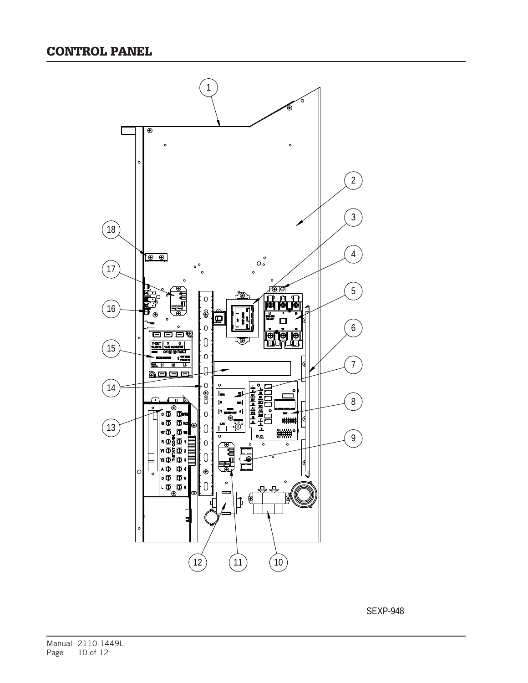

SEXP-948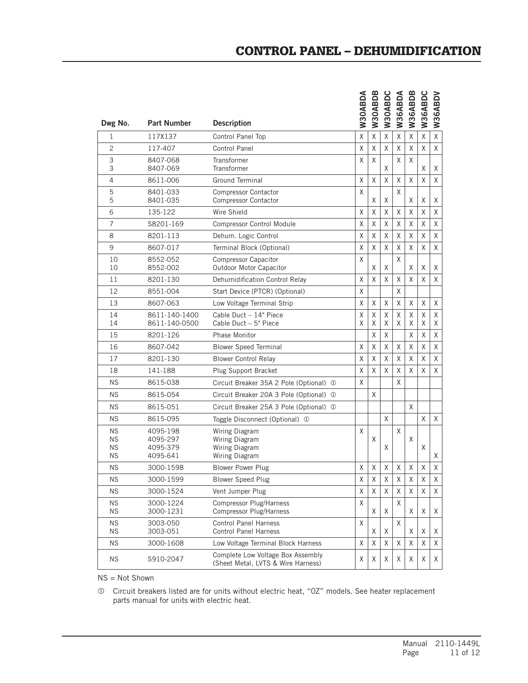| Dwg No.                                          | <b>Part Number</b>                           | <b>Description</b>                                                      | W30ABDA     | W30ABDB     | W30ABDC     | W36ABDA     | W36ABDB     | W36ABDC     | W36ABDV     |
|--------------------------------------------------|----------------------------------------------|-------------------------------------------------------------------------|-------------|-------------|-------------|-------------|-------------|-------------|-------------|
| 1                                                | 117X137                                      | Control Panel Top                                                       | Χ           | Χ           | Χ           | Χ           | Χ           | X           | X           |
| $\overline{c}$                                   | 117-407                                      | <b>Control Panel</b>                                                    | X           | X           | X           | X           | X           | X           | $\times$    |
| 3<br>3                                           | 8407-068<br>8407-069                         | Transformer<br>Transformer                                              | X           | X           | X           | Χ           | X           | X           | Χ           |
| $\overline{4}$                                   | 8611-006                                     | <b>Ground Terminal</b>                                                  | Χ           | χ           | X           | Χ           | Χ           | X           | X           |
| 5<br>5                                           | 8401-033<br>8401-035                         | <b>Compressor Contactor</b><br><b>Compressor Contactor</b>              | X           | X           | X           | Χ           | X           | Χ           | Χ           |
| 6                                                | 135-122                                      | Wire Shield                                                             | X           | X           | X           | χ           | X           | X           | X           |
| $\overline{7}$                                   | S8201-169                                    | <b>Compressor Control Module</b>                                        | X           | X           | X           | Χ           | X           | X           | X           |
| 8                                                | 8201-113                                     | Dehum. Logic Control                                                    | Χ           | X           | Χ           | Χ           | X           | $\sf X$     | X           |
| 9                                                | 8607-017                                     | Terminal Block (Optional)                                               | Χ           | X           | X           | Χ           | X           | X           | X           |
| 10<br>10                                         | 8552-052<br>8552-002                         | <b>Compressor Capacitor</b><br>Outdoor Motor Capacitor                  | X           | X           | X           | X           | X           | X           | Χ           |
| 11                                               | 8201-130                                     | Dehumidification Control Relay                                          | X           | X           | X           | X           | X           | X           | X           |
| 12                                               | 8551-004                                     | Start Device (PTCR) (Optional)                                          | X           |             |             | X           |             |             |             |
| 13                                               | 8607-063                                     | Low Voltage Terminal Strip                                              | X           | X           | X           | Χ           | X           | X           | X           |
| 14<br>14                                         | 8611-140-1400<br>8611-140-0500               | Cable Duct - 14" Piece<br>Cable Duct - 5" Piece                         | Χ<br>Χ      | χ<br>X      | Χ<br>X      | χ<br>X      | Χ<br>X      | X<br>X      | X<br>X      |
| 15                                               | 8201-126                                     | <b>Phase Monitor</b>                                                    |             | X           | X           |             | X           | X           | X           |
| 16                                               | 8607-042                                     | <b>Blower Speed Terminal</b>                                            | X           | X           | X           | χ           | X           | X           | X           |
| 17                                               | 8201-130                                     | <b>Blower Control Relay</b>                                             | X           | X           | X           | χ           | X           | X           | X           |
| 18                                               | 141-188                                      | Plug Support Bracket                                                    | X           | X           | X           | X           | X           | X           | X           |
| <b>NS</b>                                        | 8615-038                                     | Circuit Breaker 35A 2 Pole (Optional) 1                                 | X           |             |             | Χ           |             |             |             |
| <b>NS</b>                                        | 8615-054                                     | Circuit Breaker 20A 3 Pole (Optional) 1                                 |             | X           |             |             |             |             |             |
| <b>NS</b>                                        | 8615-051                                     | Circuit Breaker 25A 3 Pole (Optional) 1                                 |             |             |             |             | X           |             |             |
| <b>NS</b>                                        | 8615-095                                     | Toggle Disconnect (Optional) 1                                          |             |             | X           |             |             | X           | X           |
| <b>NS</b><br><b>NS</b><br><b>NS</b><br><b>NS</b> | 4095-198<br>4095-297<br>4095-379<br>4095-641 | Wiring Diagram<br>Wiring Diagram<br>Wiring Diagram<br>Wiring Diagram    | X           | X           | X           | X           | X           | X           | X           |
| <b>NS</b>                                        | 3000-1598                                    | <b>Blower Power Plug</b>                                                | X           | X           | X           | X           | X           | Χ           | X           |
| <b>NS</b>                                        | 3000-1599                                    | <b>Blower Speed Plug</b>                                                | $\mathsf X$ | $\mathsf X$ | $\mathsf X$ | $\mathsf X$ | $\mathsf X$ | $\mathsf X$ | $\mathsf X$ |
| ΝS                                               | 3000-1524                                    | Vent Jumper Plug                                                        | X           | X           | X           | Χ           | X           | X           | X           |
| <b>NS</b><br><b>NS</b>                           | 3000-1224<br>3000-1231                       | Compressor Plug/Harness<br>Compressor Plug/Harness                      | X           | Χ           | Χ           | X           | Χ           | Χ           | Χ           |
| ΝS<br>ΝS                                         | 3003-050<br>3003-051                         | <b>Control Panel Harness</b><br><b>Control Panel Harness</b>            | Χ           | X           | X           | Χ           | X           | X           | Χ           |
| <b>NS</b>                                        | 3000-1608                                    | Low Voltage Terminal Block Harness                                      | Χ           | X           | X           | χ           | X           | X           | X           |
| <b>NS</b>                                        | S910-2047                                    | Complete Low Voltage Box Assembly<br>(Sheet Metal, LVTS & Wire Harness) | Χ           | Χ           | Χ           | Χ           | Χ           | Χ           | Χ           |

NS = Not Shown

 Circuit breakers listed are for units without electric heat, "0Z" models. See heater replacement parts manual for units with electric heat.